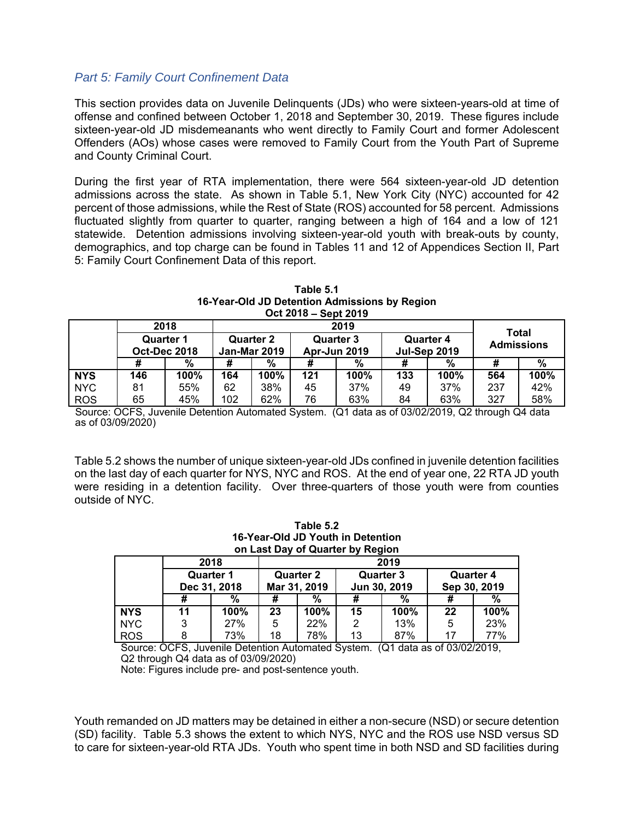## *Part 5: Family Court Confinement Data*

This section provides data on Juvenile Delinquents (JDs) who were sixteen-years-old at time of offense and confined between October 1, 2018 and September 30, 2019. These figures include sixteen-year-old JD misdemeanants who went directly to Family Court and former Adolescent Offenders (AOs) whose cases were removed to Family Court from the Youth Part of Supreme and County Criminal Court.

During the first year of RTA implementation, there were 564 sixteen-year-old JD detention admissions across the state. As shown in Table 5.1, New York City (NYC) accounted for 42 percent of those admissions, while the Rest of State (ROS) accounted for 58 percent. Admissions fluctuated slightly from quarter to quarter, ranging between a high of 164 and a low of 121 statewide. Detention admissions involving sixteen-year-old youth with break-outs by county, demographics, and top charge can be found in Tables 11 and 12 of Appendices Section II, Part 5: Family Court Confinement Data of this report.

| Table 5.1                                     |
|-----------------------------------------------|
| 16-Year-Old JD Detention Admissions by Region |
| Oct 2018 – Sept 2019                          |

|            | 2018<br>2019                            |      |                                         |      |                                         |      | Total                                   |      |                   |      |  |
|------------|-----------------------------------------|------|-----------------------------------------|------|-----------------------------------------|------|-----------------------------------------|------|-------------------|------|--|
|            | <b>Quarter 1</b><br><b>Oct-Dec 2018</b> |      | <b>Quarter 2</b><br><b>Jan-Mar 2019</b> |      | <b>Quarter 3</b><br><b>Apr-Jun 2019</b> |      | <b>Quarter 4</b><br><b>Jul-Sep 2019</b> |      | <b>Admissions</b> |      |  |
|            |                                         | %    | #                                       | $\%$ |                                         | %    |                                         | %    |                   | %    |  |
| <b>NYS</b> | 146                                     | 100% | 164                                     | 100% | 121                                     | 100% | 133                                     | 100% | 564               | 100% |  |
| <b>NYC</b> | 81                                      | 55%  | 62                                      | 38%  | 45                                      | 37%  | 49                                      | 37%  | 237               | 42%  |  |
| <b>ROS</b> | 65                                      | 45%  | 102                                     | 62%  | 76                                      | 63%  | 84                                      | 63%  | 327               | 58%  |  |

Source: OCFS, Juvenile Detention Automated System. (Q1 data as of 03/02/2019, Q2 through Q4 data as of 03/09/2020)

Table 5.2 shows the number of unique sixteen-year-old JDs confined in juvenile detention facilities on the last day of each quarter for NYS, NYC and ROS. At the end of year one, 22 RTA JD youth were residing in a detention facility. Over three-quarters of those youth were from counties outside of NYC.

| Table 5.2                         |  |  |  |  |  |  |  |
|-----------------------------------|--|--|--|--|--|--|--|
| 16-Year-Old JD Youth in Detention |  |  |  |  |  |  |  |
| on Last Day of Quarter by Region  |  |  |  |  |  |  |  |

|            |    | 2018             | 2019 |                  |                  |      |                                  |      |  |  |  |  |
|------------|----|------------------|------|------------------|------------------|------|----------------------------------|------|--|--|--|--|
|            |    | <b>Quarter 1</b> |      | <b>Quarter 2</b> | <b>Quarter 3</b> |      | <b>Quarter 4</b><br>Sep 30, 2019 |      |  |  |  |  |
|            |    | Dec 31, 2018     |      | Mar 31, 2019     | Jun 30, 2019     |      |                                  |      |  |  |  |  |
|            | #  | %                | #    | %                | #                | %    | #                                | %    |  |  |  |  |
| <b>NYS</b> | 11 | 100%             | 23   | 100%             | 15               | 100% | 22                               | 100% |  |  |  |  |
| <b>NYC</b> | 3  | 27%              | 5    | 22%              | 2                | 13%  | 5                                | 23%  |  |  |  |  |
| <b>ROS</b> | 8  | 73%              | 18   | 78%              | 13               | 87%  | 17                               | 77%  |  |  |  |  |

Source: OCFS, Juvenile Detention Automated System. (Q1 data as of 03/02/2019, Q2 through Q4 data as of 03/09/2020)

Note: Figures include pre- and post-sentence youth.

Youth remanded on JD matters may be detained in either a non-secure (NSD) or secure detention (SD) facility. Table 5.3 shows the extent to which NYS, NYC and the ROS use NSD versus SD to care for sixteen-year-old RTA JDs. Youth who spent time in both NSD and SD facilities during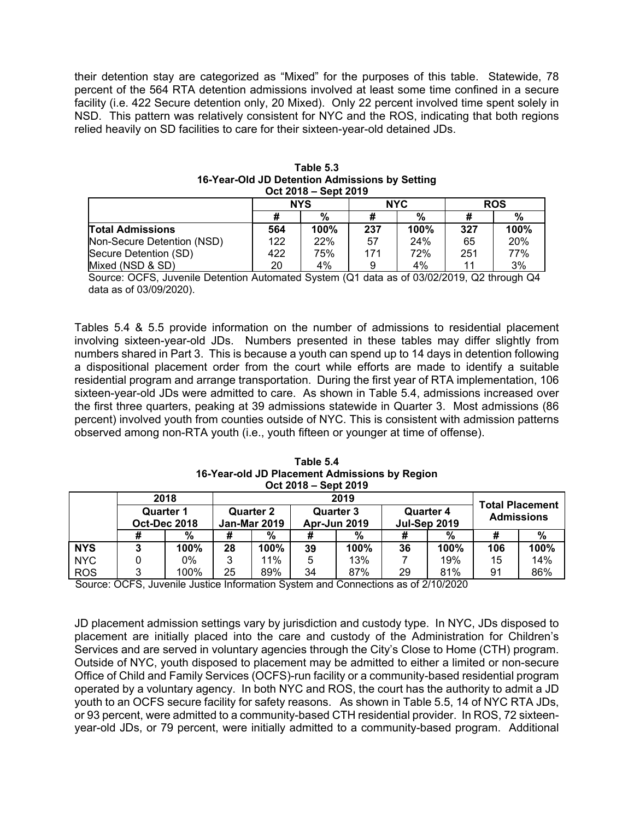their detention stay are categorized as "Mixed" for the purposes of this table. Statewide, 78 percent of the 564 RTA detention admissions involved at least some time confined in a secure facility (i.e. 422 Secure detention only, 20 Mixed). Only 22 percent involved time spent solely in NSD. This pattern was relatively consistent for NYC and the ROS, indicating that both regions relied heavily on SD facilities to care for their sixteen-year-old detained JDs.

|                            |     | <b>NYS</b> |     | <b>NYC</b> | <b>ROS</b> |      |
|----------------------------|-----|------------|-----|------------|------------|------|
|                            |     | %          | #   | %          |            | %    |
| <b>Total Admissions</b>    | 564 | 100%       | 237 | 100%       | 327        | 100% |
| Non-Secure Detention (NSD) | 122 | 22%        | 57  | 24%        | 65         | 20%  |
| Secure Detention (SD)      | 422 | 75%        | 171 | 72%        | 251        | 77%  |
| Mixed (NSD & SD)           | 20  | 4%         | 9   | 4%         | 11         | 3%   |

| Table 5.3                                      |
|------------------------------------------------|
| 16-Year-Old JD Detention Admissions by Setting |
| Oct 2018 – Sept 2019                           |

Source: OCFS, Juvenile Detention Automated System (Q1 data as of 03/02/2019, Q2 through Q4 data as of 03/09/2020).

Tables 5.4 & 5.5 provide information on the number of admissions to residential placement involving sixteen-year-old JDs. Numbers presented in these tables may differ slightly from numbers shared in Part 3. This is because a youth can spend up to 14 days in detention following a dispositional placement order from the court while efforts are made to identify a suitable residential program and arrange transportation. During the first year of RTA implementation, 106 sixteen-year-old JDs were admitted to care. As shown in Table 5.4, admissions increased over the first three quarters, peaking at 39 admissions statewide in Quarter 3. Most admissions (86 percent) involved youth from counties outside of NYC. This is consistent with admission patterns observed among non-RTA youth (i.e., youth fifteen or younger at time of offense).

**Table 5.4 16-Year-old JD Placement Admissions by Region Oct 2018 – Sept 2019** 

|            | <b></b><br>--------                     |      |                                         |      |                                             |      |    |                                  |     |                                         |  |  |
|------------|-----------------------------------------|------|-----------------------------------------|------|---------------------------------------------|------|----|----------------------------------|-----|-----------------------------------------|--|--|
|            |                                         | 2018 |                                         |      | <b>Total Placement</b><br><b>Admissions</b> |      |    |                                  |     |                                         |  |  |
|            | <b>Quarter 1</b><br><b>Oct-Dec 2018</b> |      | <b>Quarter 2</b><br><b>Jan-Mar 2019</b> |      |                                             |      |    | Quarter 3<br><b>Apr-Jun 2019</b> |     | <b>Quarter 4</b><br><b>Jul-Sep 2019</b> |  |  |
|            |                                         | %    |                                         | %    |                                             | %    |    | %                                |     | %                                       |  |  |
| <b>NYS</b> | 3                                       | 100% | 28                                      | 100% | 39                                          | 100% | 36 | 100%                             | 106 | 100%                                    |  |  |
| <b>NYC</b> |                                         | 0%   | 3                                       | 11%  | 5                                           | 13%  |    | 19%                              | 15  | 14%                                     |  |  |
| <b>ROS</b> | 3                                       | 100% | 25                                      | 89%  | 34                                          | 87%  | 29 | 81%                              | 91  | 86%                                     |  |  |

Source: OCFS, Juvenile Justice Information System and Connections as of 2/10/2020

JD placement admission settings vary by jurisdiction and custody type. In NYC, JDs disposed to placement are initially placed into the care and custody of the Administration for Children's Services and are served in voluntary agencies through the City's Close to Home (CTH) program. Outside of NYC, youth disposed to placement may be admitted to either a limited or non-secure Office of Child and Family Services (OCFS)-run facility or a community-based residential program operated by a voluntary agency. In both NYC and ROS, the court has the authority to admit a JD youth to an OCFS secure facility for safety reasons. As shown in Table 5.5, 14 of NYC RTA JDs, or 93 percent, were admitted to a community-based CTH residential provider. In ROS, 72 sixteenyear-old JDs, or 79 percent, were initially admitted to a community-based program. Additional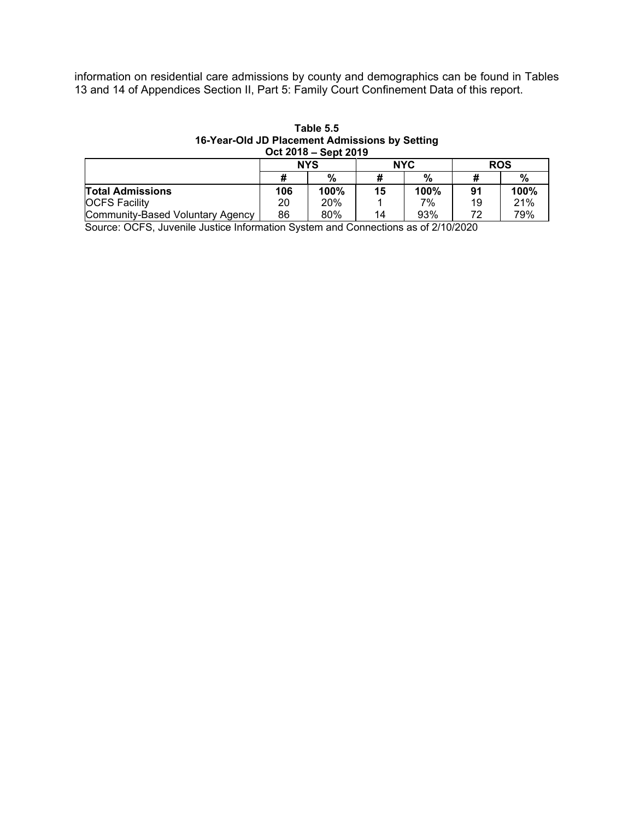information on residential care admissions by county and demographics can be found in Tables 13 and 14 of Appendices Section II, Part 5: Family Court Confinement Data of this report.

| Table 5.5                                      |
|------------------------------------------------|
| 16-Year-Old JD Placement Admissions by Setting |
| Oct 2018 – Sept 2019                           |

|                                  |     | <b>NYS</b> |    | <b>NYC</b> | <b>ROS</b> |      |
|----------------------------------|-----|------------|----|------------|------------|------|
|                                  |     | $\%$       | #  | %          |            | %    |
| <b>Total Admissions</b>          | 106 | 100%       | 15 | $100\%$    | 91         | 100% |
| <b>OCFS Facility</b>             | 20  | 20%        |    | 7%         | 19         | 21%  |
| Community-Based Voluntary Agency | 86  | 80%        | 14 | 93%        | 70         | 79%  |

Source: OCFS, Juvenile Justice Information System and Connections as of 2/10/2020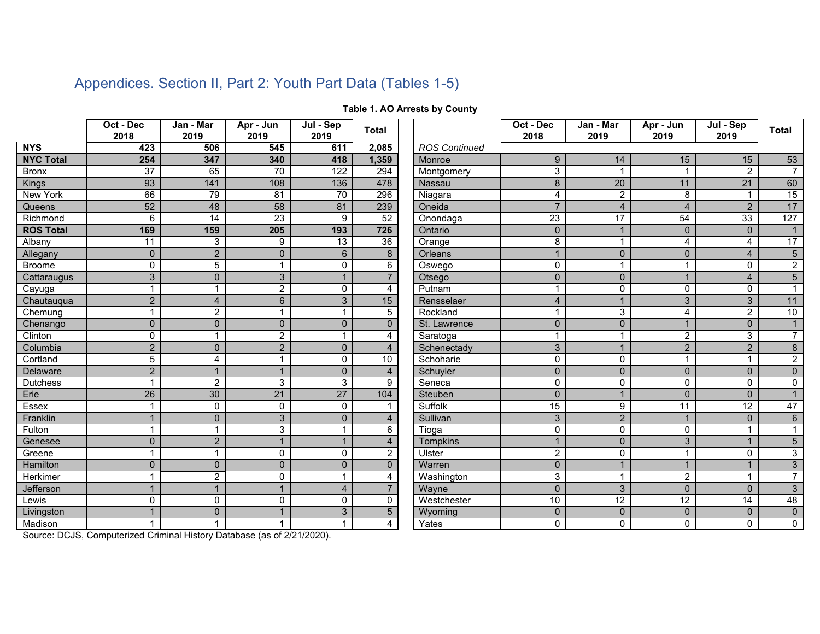|                  | Oct - Dec<br>2018        | Jan - Mar<br>2019       | Apr - Jun<br>2019    | Jul - Sep<br>2019 | <b>Total</b>    |                      | Oct - Dec<br>2018 | Jan - Mar<br>2019 | Apr - Jun<br>2019 | Jul - Sep<br>2019 | <b>Total</b>    |
|------------------|--------------------------|-------------------------|----------------------|-------------------|-----------------|----------------------|-------------------|-------------------|-------------------|-------------------|-----------------|
| <b>NYS</b>       | 423                      | 506                     | 545                  | 611               | 2,085           | <b>ROS Continued</b> |                   |                   |                   |                   |                 |
| <b>NYC Total</b> | 254                      | 347                     | 340                  | 418               | 1,359           | Monroe               | 9                 | 14                | 15                | 15                | 53              |
| <b>Bronx</b>     | $\overline{37}$          | 65                      | $\overline{70}$      | 122               | 294             | Montgomery           | $\overline{3}$    | $\overline{1}$    |                   | $\overline{2}$    | $\overline{7}$  |
| <b>Kings</b>     | 93                       | 141                     | 108                  | 136               | 478             | Nassau               | 8                 | 20                | 11                | $\overline{21}$   | 60              |
| <b>New York</b>  | 66                       | 79                      | 81                   | $\overline{70}$   | 296             | Niagara              | $\overline{4}$    | $\overline{c}$    | 8                 |                   | 15              |
| Queens           | 52                       | 48                      | 58                   | 81                | 239             | Oneida               | $\overline{7}$    | 4                 | $\overline{4}$    | $\overline{2}$    | 17              |
| Richmond         | $\overline{6}$           | 14                      | 23                   | 9                 | 52              | Onondaga             | $\overline{23}$   | $\overline{17}$   | 54                | 33                | 127             |
| <b>ROS Total</b> | 169                      | 159                     | 205                  | 193               | 726             | Ontario              | $\mathbf{0}$      | $\mathbf{1}$      | $\mathbf{0}$      | $\Omega$          | $\mathbf{1}$    |
| Albany           | $\overline{11}$          | 3                       | 9                    | 13                | $\overline{36}$ | Orange               | 8                 | $\overline{1}$    | 4                 | 4                 | 17              |
| Allegany         | $\mathbf 0$              | $\overline{2}$          | $\mathbf 0$          | $6\phantom{1}$    | 8               | <b>Orleans</b>       |                   | $\mathbf 0$       | $\Omega$          | $\overline{4}$    | $\overline{5}$  |
| <b>Broome</b>    | $\mathbf 0$              | $\overline{5}$          | $\blacktriangleleft$ | $\mathbf 0$       | $\overline{6}$  | Oswego               | $\mathbf 0$       | $\mathbf 1$       | -1                | 0                 | $\overline{2}$  |
| Cattaraugus      | 3                        | $\mathbf 0$             | 3                    | $\mathbf{1}$      | $\overline{7}$  | Otsego               | $\mathbf 0$       | $\mathbf{0}$      |                   | $\overline{4}$    | $\overline{5}$  |
| Cayuga           | 1                        |                         | $\overline{c}$       | $\Omega$          | 4               | Putnam               |                   | $\mathbf 0$       | $\Omega$          | $\Omega$          | $\mathbf{1}$    |
| Chautauqua       | $\overline{2}$           | $\overline{4}$          | $6\phantom{1}$       | 3                 | 15              | Rensselaer           | $\overline{4}$    | $\mathbf{1}$      | 3                 | 3                 | 11              |
| Chemung          | $\mathbf 1$              | $\overline{2}$          | $\blacktriangleleft$ | $\mathbf{1}$      | 5               | Rockland             | 1                 | 3                 | 4                 | $\overline{2}$    | 10              |
| Chenango         | $\Omega$                 | $\Omega$                | $\Omega$             | $\Omega$          | $\Omega$        | St. Lawrence         | $\Omega$          | $\Omega$          | $\mathbf{1}$      | $\overline{0}$    | $\overline{1}$  |
| Clinton          | $\mathbf 0$              | $\overline{\mathbf{A}}$ | $\overline{2}$       | $\mathbf{1}$      | 4               | Saratoga             | 1                 | $\overline{1}$    | $\overline{2}$    | 3                 | $\overline{7}$  |
| Columbia         | $\overline{2}$           | $\overline{0}$          | $\overline{2}$       | $\Omega$          | $\overline{4}$  | Schenectady          | 3                 | $\mathbf 1$       | $\overline{2}$    | $\overline{2}$    | $\bf 8$         |
| Cortland         | 5                        | 4                       | $\mathbf{1}$         | $\Omega$          | 10              | Schoharie            | $\mathbf 0$       | $\mathbf 0$       |                   | 1                 | $\overline{2}$  |
| <b>Delaware</b>  | $\overline{2}$           |                         | $\mathbf 1$          | $\Omega$          | $\overline{4}$  | Schuyler             | $\Omega$          | $\Omega$          | $\Omega$          | $\Omega$          | $\overline{0}$  |
| <b>Dutchess</b>  | $\overline{\mathbf{1}}$  | $\overline{2}$          | 3                    | 3                 | 9               | Seneca               | $\mathbf 0$       | $\mathbf{0}$      | $\Omega$          | $\Omega$          | $\pmb{0}$       |
| Erie             | 26                       | 30                      | 21                   | 27                | 104             | Steuben              | $\Omega$          | $\mathbf{1}$      | $\Omega$          | $\Omega$          | 1               |
| Essex            | $\overline{1}$           | $\mathbf{0}$            | 0                    | $\mathbf{0}$      | 1               | Suffolk              | 15                | 9                 | $\overline{11}$   | $\overline{12}$   | $\overline{47}$ |
| Franklin         | $\overline{\phantom{a}}$ | $\mathbf{0}$            | 3                    | $\Omega$          | $\overline{4}$  | Sullivan             | 3                 | $\overline{2}$    |                   | $\Omega$          | $6\phantom{1}6$ |
| Fulton           | $\overline{1}$           |                         | 3                    | $\mathbf{1}$      | 6               | Tioga                | $\mathbf 0$       | $\mathbf 0$       | $\Omega$          | 1                 | $\mathbf{1}$    |
| Genesee          | $\mathbf 0$              | $\overline{2}$          | $\mathbf{1}$         | $\mathbf{1}$      | $\overline{4}$  | <b>Tompkins</b>      |                   | $\mathbf{0}$      | 3                 |                   | $\overline{5}$  |
| Greene           | $\overline{\mathbf{A}}$  |                         | $\Omega$             | $\Omega$          | 2               | Ulster               | $\overline{2}$    | $\mathbf{0}$      |                   | 0                 | $\overline{3}$  |
| Hamilton         | $\mathbf{0}$             | $\overline{0}$          | $\overline{0}$       | $\mathbf{0}$      | $\Omega$        | Warren               | $\mathbf{0}$      | $\mathbf{1}$      |                   |                   | $\overline{3}$  |
| Herkimer         | $\overline{1}$           | $\overline{2}$          | 0                    | $\mathbf{1}$      | 4               | Washington           | 3                 | $\mathbf{1}$      | $\overline{2}$    | 1                 | $\overline{7}$  |
| Jefferson        | $\overline{1}$           |                         | $\mathbf{1}$         | $\overline{4}$    | $\overline{7}$  | Wayne                | $\Omega$          | 3                 | $\Omega$          | $\Omega$          | $\mathfrak{Z}$  |
| Lewis            | $\mathbf 0$              | $\Omega$                | 0                    | $\mathbf{0}$      | $\Omega$        | Westchester          | 10                | 12                | 12                | 14                | 48              |
| Livingston       |                          | 0                       |                      | 3                 | 5               | Wyoming              | $\mathbf{0}$      | $\mathbf{0}$      | $\mathbf 0$       | $\mathbf{0}$      | $\pmb{0}$       |
| Madison          |                          |                         |                      | $\overline{1}$    | 4               | Yates                | $\Omega$          | $\Omega$          | $\Omega$          | $\Omega$          | $\Omega$        |

## **Table 1. AO Arrests by County**

Appendices. Section II, Part 2: Youth Part Data (Tables 1-5)

Source: DCJS, Computerized Criminal History Database (as of 2/21/2020).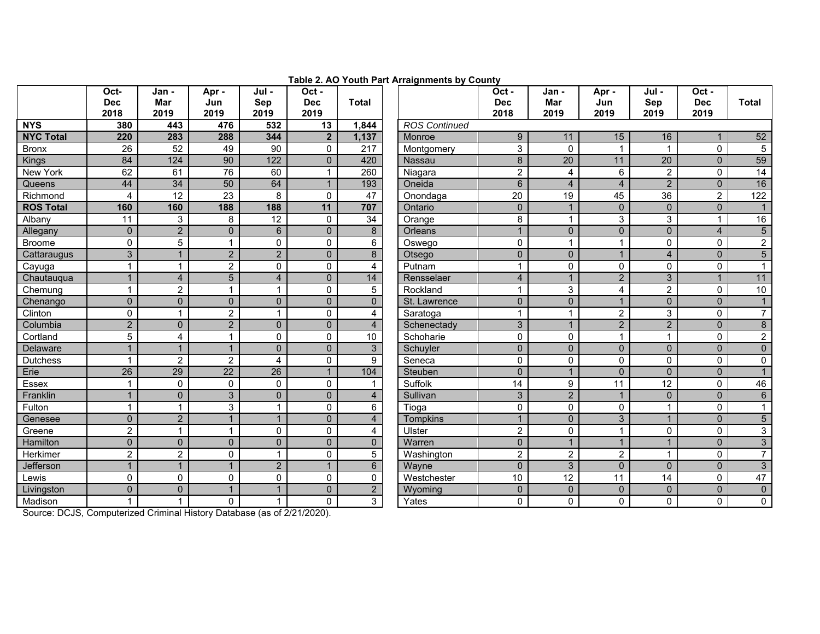|                  | Oct-<br><b>Dec</b><br>2018 | Jan -<br><b>Mar</b><br>2019 | Apr -<br>Jun<br>2019 | Jul -<br>Sep<br>2019 | $1.44713 = 1.713$ . $3.4111$ . $3.1$<br>Oct -<br><b>Dec</b><br>2019 | <b>Total</b>         | . . <u>.</u> <i>.</i> . | Oct -<br><b>Dec</b><br>2018 | Jan -<br>Mar<br>2019 | Apr -<br>Jun<br>2019 | Jul -<br><b>Sep</b><br>2019 | Oct -<br><b>Dec</b><br>2019 | <b>Total</b>    |
|------------------|----------------------------|-----------------------------|----------------------|----------------------|---------------------------------------------------------------------|----------------------|-------------------------|-----------------------------|----------------------|----------------------|-----------------------------|-----------------------------|-----------------|
| <b>NYS</b>       | 380                        | 443                         | 476                  | 532                  | 13                                                                  | 1,844                | <b>ROS Continued</b>    |                             |                      |                      |                             |                             |                 |
| <b>NYC Total</b> | 220                        | 283                         | 288                  | 344                  | $\overline{2}$                                                      | 1,137                | Monroe                  | 9                           | 11                   | 15                   | 16                          |                             | 52              |
| <b>Bronx</b>     | 26                         | 52                          | 49                   | 90                   | 0                                                                   | 217                  | Montgomery              | $\mathsf 3$                 | $\mathbf 0$          | $\overline{1}$       | $\mathbf{1}$                | $\mathbf 0$                 | $5\phantom{.0}$ |
| Kings            | 84                         | 124                         | 90                   | 122                  | $\overline{0}$                                                      | 420                  | <b>Nassau</b>           | $\boldsymbol{8}$            | 20                   | 11                   | 20                          | $\overline{0}$              | 59              |
| <b>New York</b>  | 62                         | 61                          | $\overline{76}$      | 60                   | 1                                                                   | 260                  | Niagara                 | 2                           | $\overline{4}$       | 6                    | 2                           | $\mathbf 0$                 | $\overline{14}$ |
| Queens           | 44                         | $\overline{34}$             | 50                   | 64                   | 1                                                                   | 193                  | Oneida                  | $6\phantom{1}6$             | $\overline{4}$       | $\overline{A}$       | $\overline{2}$              | $\Omega$                    | 16              |
| Richmond         | 4                          | $\overline{12}$             | 23                   | 8                    | 0                                                                   | $\overline{47}$      | Onondaga                | $\overline{20}$             | $\overline{19}$      | 45                   | $\overline{36}$             | $\overline{2}$              | 122             |
| <b>ROS Total</b> | 160                        | 160                         | 188                  | 188                  | 11                                                                  | 707                  | Ontario                 | $\mathbf 0$                 | $\mathbf{1}$         | $\mathbf 0$          | $\mathbf{0}$                | $\mathbf 0$                 |                 |
| Albany           | 11                         | 3                           | 8                    | 12                   | $\Omega$                                                            | 34                   | Orange                  | 8                           | $\overline{1}$       | 3                    | 3                           |                             | 16              |
| Allegany         | $\mathbf 0$                | $\overline{2}$              | $\mathbf 0$          | 6                    | $\Omega$                                                            | 8                    | Orleans                 |                             | $\mathbf{0}$         | $\Omega$             | $\mathbf 0$                 | $\overline{4}$              | $\overline{5}$  |
| <b>Broome</b>    | 0                          | $\overline{5}$              | $\mathbf{1}$         | $\Omega$             | $\Omega$                                                            | 6                    | Oswego                  | $\mathbf 0$                 | $\overline{1}$       | 1                    | $\pmb{0}$                   | $\mathbf 0$                 | $\overline{2}$  |
| Cattaraugus      | 3                          |                             | $\overline{2}$       | $\overline{2}$       | $\Omega$                                                            | 8                    | Otsego                  | $\Omega$                    | $\mathbf{0}$         |                      | $\overline{4}$              | $\mathbf{0}$                | $\overline{5}$  |
| Cayuga           |                            |                             | $\overline{c}$       | $\Omega$             | 0                                                                   | 4                    | Putnam                  |                             | $\mathbf 0$          | $\Omega$             | $\mathbf{0}$                | $\Omega$                    | $\mathbf 1$     |
| Chautauqua       |                            | $\overline{\mathbf{4}}$     | $\overline{5}$       | $\overline{4}$       | $\mathbf 0$                                                         | 14                   | Rensselaer              | $\overline{4}$              |                      | $\overline{2}$       | $\mathfrak{Z}$              |                             | 11              |
| Chemung          | 1                          | $\overline{a}$              | $\mathbf 1$          |                      | 0                                                                   | $\overline{5}$       | Rockland                | -1                          | 3                    | 4                    | $\overline{2}$              | $\mathbf 0$                 | 10              |
| Chenango         | $\mathbf 0$                | $\mathbf 0$                 | $\mathbf 0$          | $\Omega$             | $\mathbf 0$                                                         | $\mathbf{0}$         | St. Lawrence            | $\mathbf 0$                 | $\pmb{0}$            |                      | $\pmb{0}$                   | $\mathbf 0$                 |                 |
| Clinton          | 0                          | 1                           | $\overline{2}$       |                      | 0                                                                   | 4                    | Saratoga                | $\mathbf{1}$                | $\mathbf 1$          | 2                    | $\mathbf{3}$                | $\mathbf 0$                 | $\overline{7}$  |
| Columbia         | $\overline{2}$             | $\overline{0}$              | $\overline{2}$       | $\Omega$             | $\mathbf{0}$                                                        | $\overline{4}$       | Schenectady             | 3                           | $\mathbf{1}$         | $\overline{2}$       | $\mathbf{2}$                | $\mathbf{0}$                | $\bf 8$         |
| Cortland         | 5                          | 4                           | $\overline{1}$       | $\Omega$             | $\Omega$                                                            | $\overline{10}$      | Schoharie               | $\mathbf{0}$                | $\mathbf 0$          | $\overline{1}$       | $\mathbf{1}$                | $\mathbf{0}$                | $\overline{2}$  |
| Delaware         | $\overline{1}$             | $\mathbf{1}$                | $\mathbf{1}$         | $\Omega$             | $\Omega$                                                            | $\mathbf{3}$         | Schuyler                | $\Omega$                    | $\mathbf{0}$         | $\mathbf{0}$         | $\mathbf{0}$                | $\mathbf{0}$                | $\mathbf{0}$    |
| <b>Dutchess</b>  | 1                          | $\overline{c}$              | $\overline{c}$       | 4                    | 0                                                                   | 9                    | Seneca                  | $\mathbf 0$                 | $\mathbf 0$          | $\Omega$             | $\mathbf 0$                 | $\mathbf 0$                 | $\mathbf 0$     |
| Erie             | 26                         | 29                          | $\overline{22}$      | 26                   | $\overline{1}$                                                      | 104                  | Steuben                 | $\Omega$                    | $\overline{1}$       | $\Omega$             | $\mathbf 0$                 | $\mathbf 0$                 | $\mathbf{1}$    |
| Essex            | 1                          | 0                           | 0                    | $\Omega$             | 0                                                                   | $\blacktriangleleft$ | Suffolk                 | 14                          | 9                    | 11                   | $\overline{12}$             | $\Omega$                    | 46              |
| Franklin         |                            | $\overline{0}$              | 3                    | $\Omega$             | $\Omega$                                                            | $\overline{4}$       | Sullivan                | 3                           | $\overline{2}$       | $\overline{A}$       | $\mathbf{0}$                | $\Omega$                    | $6\phantom{1}$  |
| Fulton           | $\mathbf{1}$               | $\mathbf{1}$                | 3                    | 1                    | 0                                                                   | 6                    | Tioga                   | $\mathbf 0$                 | $\mathbf 0$          | $\mathbf 0$          | $\mathbf{1}$                | $\mathbf 0$                 | $\mathbf{1}$    |
| Genesee          | $\overline{0}$             | $\overline{2}$              | $\mathbf{1}$         |                      | $\overline{0}$                                                      | $\overline{4}$       | <b>Tompkins</b>         | 1                           | $\mathbf{0}$         | 3                    | $\mathbf{1}$                | $\overline{0}$              | $\overline{5}$  |
| Greene           | $\overline{2}$             | $\mathbf{1}$                | $\mathbf 1$          | $\Omega$             | 0                                                                   | 4                    | Ulster                  | $\overline{2}$              | $\mathbf 0$          | $\mathbf 1$          | $\mathbf 0$                 | $\mathbf 0$                 | $\mathbf{3}$    |
| Hamilton         | $\overline{0}$             | $\overline{0}$              | $\mathbf 0$          | $\Omega$             | $\Omega$                                                            | $\mathbf{0}$         | Warren                  | $\Omega$                    | $\overline{1}$       |                      | $\mathbf{1}$                | $\mathbf 0$                 | $\mathfrak{S}$  |
| Herkimer         | $\overline{2}$             | $\overline{2}$              | $\mathbf{0}$         |                      | $\Omega$                                                            | 5                    | Washington              | $\overline{c}$              | $\overline{2}$       | $\overline{2}$       | $\mathbf{1}$                | $\mathbf 0$                 | $\overline{7}$  |
| Jefferson        | $\mathbf{1}$               | $\mathbf{1}$                | $\mathbf{1}$         | $\overline{2}$       | $\overline{1}$                                                      | $6\phantom{1}$       | Wayne                   | $\mathbf 0$                 | $\mathbf{3}$         | $\mathbf 0$          | $\mathbf 0$                 | $\mathbf 0$                 | $\mathbf{3}$    |
| Lewis            | 0                          | 0                           | 0                    | $\Omega$             | $\Omega$                                                            | $\mathbf 0$          | Westchester             | 10                          | 12                   | $\overline{11}$      | $\overline{14}$             | 0                           | 47              |
| Livingston       | $\Omega$                   | $\overline{0}$              | $\mathbf{1}$         |                      | $\Omega$                                                            | 2                    | Wyoming                 | $\mathbf{0}$                | $\mathbf{0}$         | $\mathbf{0}$         | $\mathbf{0}$                | $\Omega$                    | $\pmb{0}$       |
| Madison          | 1                          |                             | $\mathbf{0}$         |                      | $\Omega$                                                            | $\mathfrak{S}$       | Yates                   | $\mathbf 0$                 | $\mathbf 0$          | $\mathbf 0$          | $\mathbf{0}$                | $\Omega$                    | $\mathbf 0$     |

**Table 2. AO Youth Part Arraignments by County** 

Source: DCJS, Computerized Criminal History Database (as of 2/21/2020).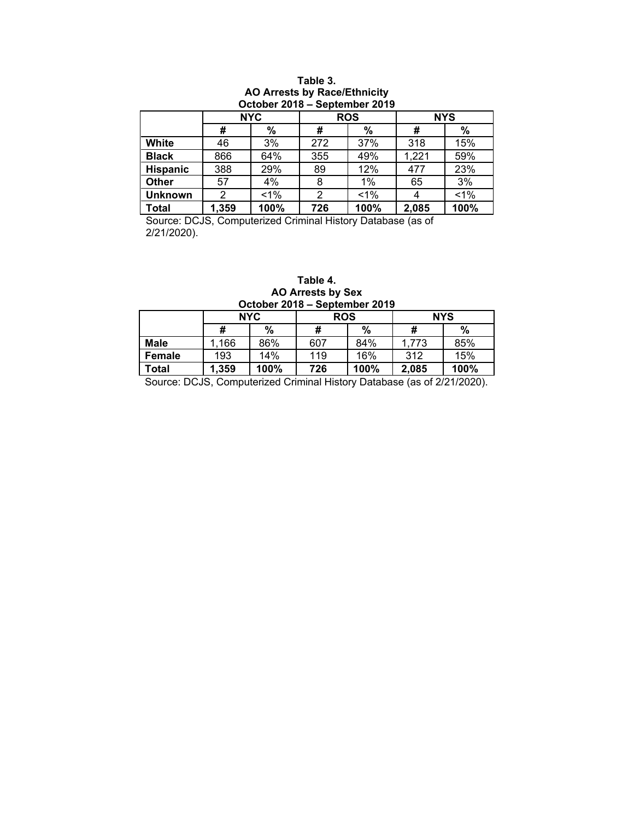## **Table 3. AO Arrests by Race/Ethnicity October 2018 ‒ September 2019**

|                 |       | <b>NYC</b> |     | <b>ROS</b> | <b>NYS</b> |       |  |  |  |  |  |  |
|-----------------|-------|------------|-----|------------|------------|-------|--|--|--|--|--|--|
|                 | #     | $\%$       | #   | %          | #          | $\%$  |  |  |  |  |  |  |
| <b>White</b>    | 46    | 3%         | 272 | 37%        | 318        | 15%   |  |  |  |  |  |  |
| <b>Black</b>    | 866   | 64%        | 355 | 49%        | 1,221      | 59%   |  |  |  |  |  |  |
| <b>Hispanic</b> | 388   | 29%        | 89  | 12%        | 477        | 23%   |  |  |  |  |  |  |
| Other           | 57    | 4%         | 8   | $1\%$      | 65         | 3%    |  |  |  |  |  |  |
| <b>Unknown</b>  | 2     | $1\%$      | 2   | $1\%$      | 4          | $1\%$ |  |  |  |  |  |  |
| <b>Total</b>    | 1,359 | 100%       | 726 | 100%       | 2,085      | 100%  |  |  |  |  |  |  |

Source: DCJS, Computerized Criminal History Database (as of 2/21/2020).

## **Table 4. AO Arrests by Sex October 2018 ‒ September 2019**

|             | <b>NYC</b> |      | <b>ROS</b> |      | <b>NYS</b> |      |  |  |  |  |  |
|-------------|------------|------|------------|------|------------|------|--|--|--|--|--|
|             | #          | %    | #          | %    | #          | $\%$ |  |  |  |  |  |
| <b>Male</b> | 1,166      | 86%  | 607        | 84%  | 1,773      | 85%  |  |  |  |  |  |
| Female      | 193        | 14%  | 119        | 16%  | 312        | 15%  |  |  |  |  |  |
| Total       | 1,359      | 100% | 726        | 100% | 2,085      | 100% |  |  |  |  |  |

Source: DCJS, Computerized Criminal History Database (as of 2/21/2020).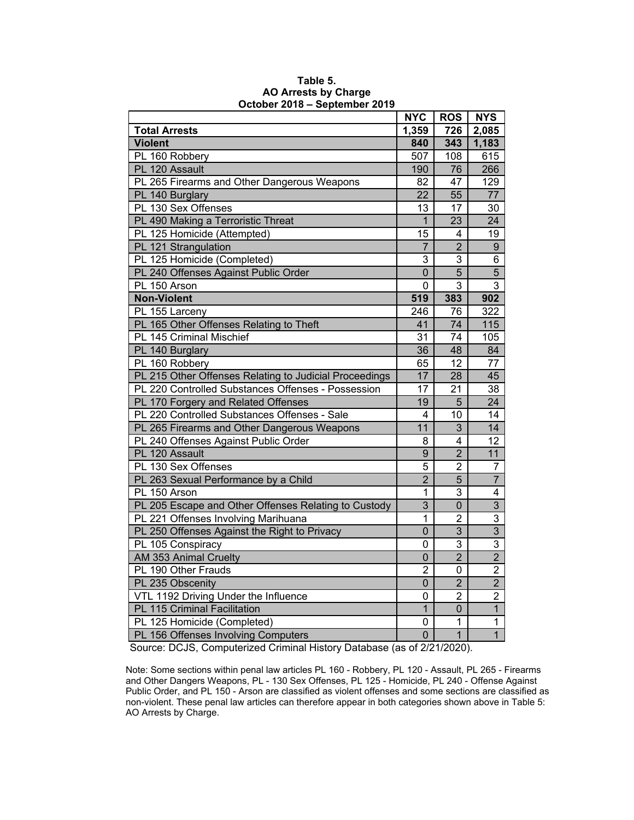|                                                        | <b>NYC</b>     | <b>ROS</b>     | <b>NYS</b>       |
|--------------------------------------------------------|----------------|----------------|------------------|
| <b>Total Arrests</b>                                   | 1,359          | 726            | 2,085            |
| <b>Violent</b>                                         | 840            | 343            | 1,183            |
| PL 160 Robbery                                         | 507            | 108            | 615              |
| PL 120 Assault                                         | 190            | 76             | 266              |
| PL 265 Firearms and Other Dangerous Weapons            | 82             | 47             | 129              |
| PL 140 Burglary                                        | 22             | 55             | 77               |
| PL 130 Sex Offenses                                    | 13             | 17             | 30               |
| PL 490 Making a Terroristic Threat                     | $\mathbf{1}$   | 23             | $\overline{24}$  |
| PL 125 Homicide (Attempted)                            | 15             | 4              | 19               |
| PL 121 Strangulation                                   | 7              | $\overline{2}$ | 9                |
| PL 125 Homicide (Completed)                            | 3              | 3              | 6                |
| PL 240 Offenses Against Public Order                   | $\overline{0}$ | $\overline{5}$ | $\overline{5}$   |
| PL 150 Arson                                           | 0              | 3              | 3                |
| <b>Non-Violent</b>                                     | 519            | 383            | 902              |
| PL 155 Larceny                                         | 246            | 76             | $\overline{322}$ |
| PL 165 Other Offenses Relating to Theft                | 41             | 74             | 115              |
| PL 145 Criminal Mischief                               | 31             | 74             | 105              |
| PL 140 Burglary                                        | 36             | 48             | 84               |
| PL 160 Robbery                                         | 65             | 12             | 77               |
| PL 215 Other Offenses Relating to Judicial Proceedings | 17             | 28             | 45               |
| PL 220 Controlled Substances Offenses - Possession     | 17             | 21             | 38               |
| PL 170 Forgery and Related Offenses                    | 19             | 5              | 24               |
| PL 220 Controlled Substances Offenses - Sale           | 4              | 10             | 14               |
| PL 265 Firearms and Other Dangerous Weapons            | 11             | 3              | 14               |
| PL 240 Offenses Against Public Order                   | 8              | 4              | 12               |
| PL 120 Assault                                         | 9              | $\overline{2}$ | 11               |
| PL 130 Sex Offenses                                    | $\overline{5}$ | $\overline{2}$ | $\overline{7}$   |
| PL 263 Sexual Performance by a Child                   | $\overline{2}$ | 5              | $\overline{7}$   |
| PL 150 Arson                                           | $\mathbf{1}$   | 3              | 4                |
| PL 205 Escape and Other Offenses Relating to Custody   | 3              | 0              | $\overline{3}$   |
| PL 221 Offenses Involving Marihuana                    | 1              | $\overline{2}$ | 3                |
| PL 250 Offenses Against the Right to Privacy           | $\mathbf 0$    | $\overline{3}$ | $\overline{3}$   |
| PL 105 Conspiracy                                      | $\mathbf 0$    | 3              | $\overline{3}$   |
| AM 353 Animal Cruelty                                  | $\mathbf 0$    | $\overline{2}$ | $\overline{2}$   |
| PL 190 Other Frauds                                    | $\overline{2}$ | 0              | $\overline{2}$   |
| PL 235 Obscenity                                       | 0              | $\overline{2}$ | $\overline{2}$   |
| VTL 1192 Driving Under the Influence                   | $\mathbf 0$    | $\overline{2}$ | $\overline{2}$   |
| PL 115 Criminal Facilitation                           | $\overline{1}$ | 0              | $\overline{1}$   |
| PL 125 Homicide (Completed)                            | 0              | 1              | $\mathbf{1}$     |
| PL 156 Offenses Involving Computers                    | $\mathbf 0$    | $\overline{1}$ | $\overline{1}$   |

## **Table 5. AO Arrests by Charge October 2018 ‒ September 2019**

Source: DCJS, Computerized Criminal History Database (as of 2/21/2020).

Note: Some sections within penal law articles PL 160 - Robbery, PL 120 - Assault, PL 265 - Firearms and Other Dangers Weapons, PL - 130 Sex Offenses, PL 125 - Homicide, PL 240 - Offense Against Public Order, and PL 150 - Arson are classified as violent offenses and some sections are classified as non-violent. These penal law articles can therefore appear in both categories shown above in Table 5: AO Arrests by Charge.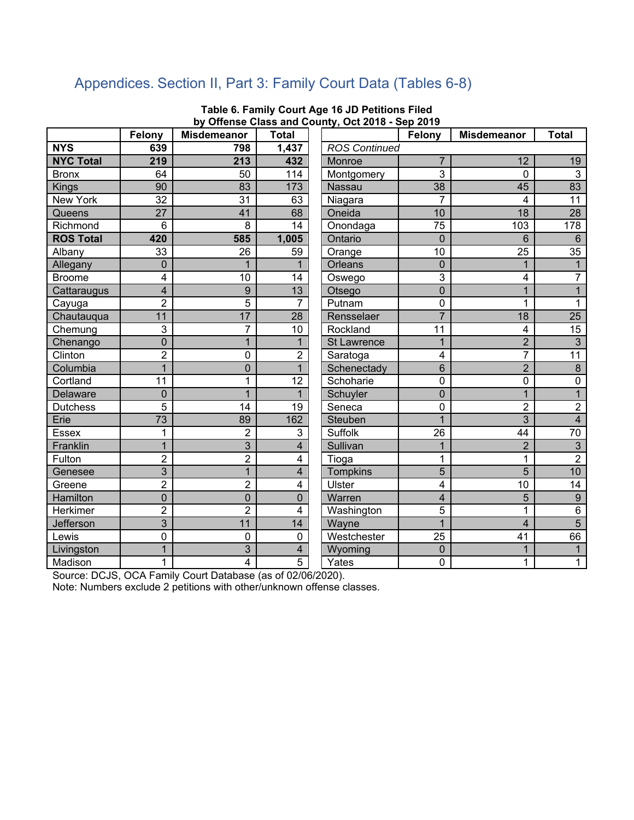# Appendices. Section II, Part 3: Family Court Data (Tables 6-8)

|                  | Felony          | <b>Misdemeanor</b> | <b>Total</b>   |                      | Felony         | <b>Misdemeanor</b>      | <b>Total</b>     |
|------------------|-----------------|--------------------|----------------|----------------------|----------------|-------------------------|------------------|
| <b>NYS</b>       | 639             | 798                | 1,437          | <b>ROS Continued</b> |                |                         |                  |
| <b>NYC Total</b> | 219             | 213                | 432            | Monroe               | $\overline{7}$ | 12                      | 19               |
| <b>Bronx</b>     | 64              | 50                 | 114            | Montgomery           | 3              | 0                       | $\overline{3}$   |
| <b>Kings</b>     | 90              | 83                 | 173            | Nassau               | 38             | 45                      | 83               |
| <b>New York</b>  | $\overline{32}$ | $\overline{31}$    | 63             | Niagara              | $\overline{7}$ | 4                       | $\overline{11}$  |
| Queens           | 27              | 41                 | 68             | Oneida               | 10             | 18                      | 28               |
| Richmond         | 6               | 8                  | 14             | Onondaga             | 75             | 103                     | $\overline{178}$ |
| <b>ROS Total</b> | 420             | 585                | 1,005          | Ontario              | 0              | 6                       | $6\phantom{a}$   |
| Albany           | 33              | 26                 | 59             | Orange               | 10             | 25                      | $\overline{35}$  |
| Allegany         | $\mathbf 0$     | $\mathbf{1}$       |                | <b>Orleans</b>       | $\mathbf 0$    | $\mathbf{1}$            | $\mathbf{1}$     |
| <b>Broome</b>    | 4               | 10                 | 14             | Oswego               | 3              | 4                       | $\overline{7}$   |
| Cattaraugus      | 4               | 9                  | 13             | Otsego               | $\overline{0}$ | $\mathbf{1}$            | $\mathbf{1}$     |
| Cayuga           | $\overline{2}$  | 5                  | 7              | Putnam               | 0              | $\mathbf 1$             | $\mathbf{1}$     |
| Chautauqua       | 11              | 17                 | 28             | Rensselaer           | $\overline{7}$ | $\overline{18}$         | 25               |
| Chemung          | 3               | 7                  | 10             | Rockland             | 11             | 4                       | 15               |
| Chenango         | $\mathbf 0$     | $\mathbf{1}$       | 1              | <b>St Lawrence</b>   | $\mathbf{1}$   | $\overline{2}$          | $\mathbf{3}$     |
| Clinton          | $\overline{2}$  | $\overline{0}$     | $\overline{2}$ | Saratoga             | 4              | 7                       | $\overline{11}$  |
| Columbia         | $\overline{1}$  | $\overline{0}$     | $\mathbf 1$    | Schenectady          | 6              | $\overline{2}$          | 8                |
| Cortland         | 11              | $\mathbf{1}$       | 12             | Schoharie            | $\mathbf 0$    | $\mathbf 0$             | $\mathbf 0$      |
| Delaware         | $\overline{0}$  | $\overline{1}$     | 1              | Schuyler             | $\overline{0}$ | $\overline{1}$          | $\overline{1}$   |
| <b>Dutchess</b>  | 5               | 14                 | 19             | Seneca               | 0              | $\overline{2}$          | $\boldsymbol{2}$ |
| Erie             | 73              | 89                 | 162            | Steuben              | $\overline{1}$ | $\overline{3}$          | $\overline{4}$   |
| <b>Essex</b>     | 1               | $\overline{2}$     | 3              | <b>Suffolk</b>       | 26             | 44                      | $\overline{70}$  |
| Franklin         | $\overline{1}$  | 3                  | 4              | Sullivan             | 1              | $\overline{2}$          | $\overline{3}$   |
| Fulton           | $\overline{2}$  | $\overline{2}$     | 4              | Tioga                | 1              | 1                       | $\overline{2}$   |
| Genesee          | $\overline{3}$  | $\overline{1}$     | 4              | Tompkins             | 5              | $\overline{5}$          | 10               |
| Greene           | $\overline{2}$  | $\overline{2}$     | 4              | Ulster               | 4              | 10                      | $\overline{14}$  |
| Hamilton         | $\overline{0}$  | $\overline{0}$     | $\overline{0}$ | Warren               | $\overline{4}$ | 5                       | 9                |
| <b>Herkimer</b>  | $\overline{2}$  | $\overline{2}$     | 4              | Washington           | 5              | 1                       | $\overline{6}$   |
| Jefferson        | $\overline{3}$  | 11                 | 14             | Wayne                | $\overline{1}$ | $\overline{\mathbf{4}}$ | $\overline{5}$   |
| Lewis            | $\mathbf 0$     | $\overline{0}$     | 0              | Westchester          | 25             | 41                      | 66               |
| Livingston       | $\overline{1}$  | 3                  | 4              | Wyoming              | $\mathbf 0$    | $\overline{1}$          | $\mathbf{1}$     |
| Madison          | 1               | $\overline{4}$     | 5              | Yates                | 0              | 1                       | 1                |

## **Table 6. Family Court Age 16 JD Petitions Filed by Offense Class and County, Oct 2018 - Sep 2019**

Source: DCJS, OCA Family Court Database (as of 02/06/2020).

Note: Numbers exclude 2 petitions with other/unknown offense classes.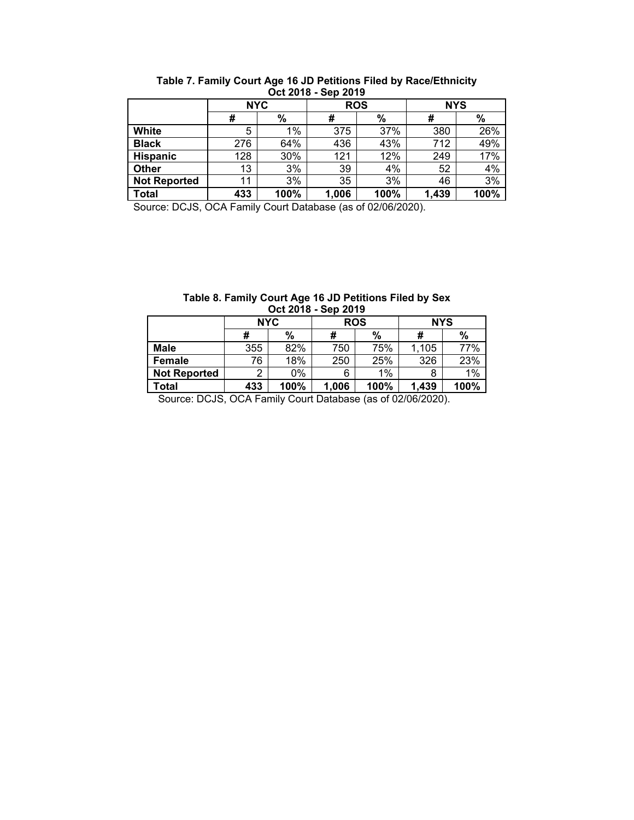| <b>VVL LV IV</b><br>— VVN LV IV |            |      |            |      |            |      |  |  |  |  |  |  |
|---------------------------------|------------|------|------------|------|------------|------|--|--|--|--|--|--|
|                                 | <b>NYC</b> |      | <b>ROS</b> |      | <b>NYS</b> |      |  |  |  |  |  |  |
|                                 | #          | %    | #          | %    | #          | %    |  |  |  |  |  |  |
| White                           | 5          | 1%   | 375        | 37%  | 380        | 26%  |  |  |  |  |  |  |
| <b>Black</b>                    | 276        | 64%  | 436        | 43%  | 712        | 49%  |  |  |  |  |  |  |
| <b>Hispanic</b>                 | 128        | 30%  | 121        | 12%  | 249        | 17%  |  |  |  |  |  |  |
| Other                           | 13         | 3%   | 39         | 4%   | 52         | 4%   |  |  |  |  |  |  |
| <b>Not Reported</b>             | 11         | 3%   | 35         | 3%   | 46         | 3%   |  |  |  |  |  |  |
| <b>Total</b>                    | 433        | 100% | 1,006      | 100% | 1,439      | 100% |  |  |  |  |  |  |

**Table 7. Family Court Age 16 JD Petitions Filed by Race/Ethnicity Oct 2018 - Sep 2019** 

Source: DCJS, OCA Family Court Database (as of 02/06/2020).

| Table 8. Family Court Age 16 JD Petitions Filed by Sex |  |
|--------------------------------------------------------|--|
| Oct 2018 - Sep 2019                                    |  |

|                     | <b>NYC</b> |      | <b>ROS</b> |      | <b>NYS</b> |      |  |
|---------------------|------------|------|------------|------|------------|------|--|
|                     | #          | %    | #          | $\%$ | #          | %    |  |
| <b>Male</b>         | 355        | 82%  | 750        | 75%  | 1.105      | 77%  |  |
| Female              | 76         | 18%  | 250        | 25%  | 326        | 23%  |  |
| <b>Not Reported</b> | っ          | 0%   | 6          | 1%   |            | 1%   |  |
| Total               | 433        | 100% | 1,006      | 100% | 1,439      | 100% |  |

Source: DCJS, OCA Family Court Database (as of 02/06/2020).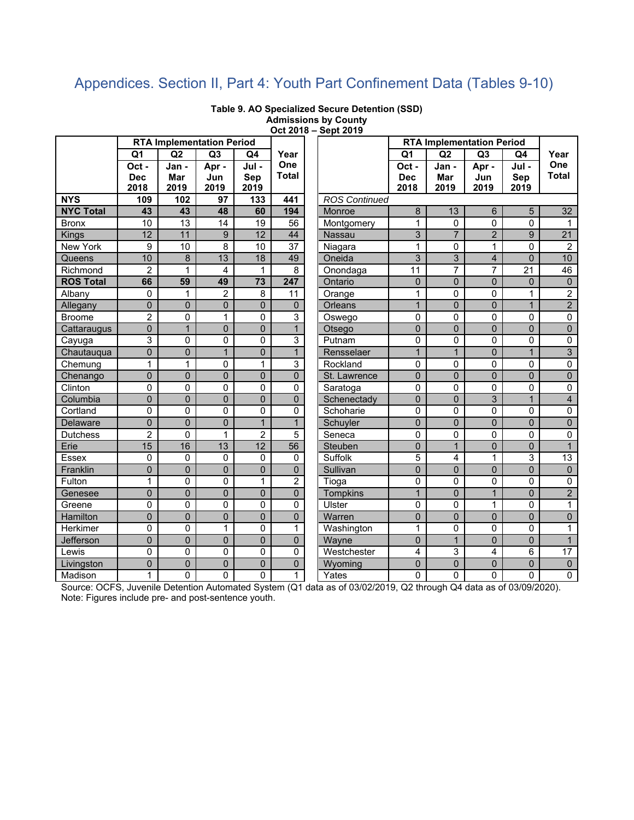# Appendices. Section II, Part 4: Youth Part Confinement Data (Tables 9-10)

|                  |                |                | <b>RTA Implementation Period</b> |                 |                 |                      |                | <b>RTA Implementation Period</b> |                |                 |                         |
|------------------|----------------|----------------|----------------------------------|-----------------|-----------------|----------------------|----------------|----------------------------------|----------------|-----------------|-------------------------|
|                  | Q1             | Q2             | Q <sub>3</sub>                   | Q4              | Year            |                      | Q <sub>1</sub> | Q2                               | Q <sub>3</sub> | Q4              | Year                    |
|                  | Oct-           | Jan -          | Apr-                             | Jul -           | One             |                      | Oct-           | Jan -                            | Apr -          | Jul -           | One                     |
|                  | <b>Dec</b>     | <b>Mar</b>     | Jun                              | Sep             | <b>Total</b>    |                      | <b>Dec</b>     | Mar                              | Jun            | Sep             | <b>Total</b>            |
|                  | 2018           | 2019           | 2019                             | 2019            |                 |                      | 2018           | 2019                             | 2019           | 2019            |                         |
| <b>NYS</b>       | 109            | 102            | 97                               | 133             | 441             | <b>ROS Continued</b> |                |                                  |                |                 |                         |
| <b>NYC Total</b> | 43             | 43             | 48                               | 60              | 194             | Monroe               | 8              | 13                               | 6              | 5               | 32                      |
| <b>Bronx</b>     | 10             | 13             | $\overline{14}$                  | 19              | 56              | Montgomery           | 1              | $\Omega$                         | 0              | 0               | $\mathbf{1}$            |
| Kings            | 12             | 11             | $\boldsymbol{9}$                 | $\overline{12}$ | 44              | Nassau               | 3              | $\overline{7}$                   | $\overline{2}$ | 9               | $\overline{21}$         |
| New York         | 9              | 10             | 8                                | 10              | $\overline{37}$ | Niagara              | $\mathbf{1}$   | $\mathbf 0$                      | $\mathbf{1}$   | 0               | $\overline{2}$          |
| Queens           | 10             | 8              | 13                               | 18              | 49              | Oneida               | 3              | 3                                | $\overline{4}$ | $\overline{0}$  | 10                      |
| Richmond         | $\overline{2}$ | 1              | 4                                | $\mathbf{1}$    | 8               | Onondaga             | 11             | 7                                | 7              | $\overline{21}$ | $\overline{46}$         |
| <b>ROS Total</b> | 66             | 59             | 49                               | 73              | 247             | Ontario              | $\mathbf 0$    | $\mathbf 0$                      | $\overline{0}$ | 0               | $\mathbf{0}$            |
| Albany           | $\mathbf 0$    | 1              | $\overline{c}$                   | 8               | 11              | Orange               | 1              | $\mathbf 0$                      | 0              | 1               | $\overline{2}$          |
| Allegany         | $\overline{0}$ | $\mathbf 0$    | $\pmb{0}$                        | $\overline{0}$  | 0               | <b>Orleans</b>       | $\mathbf{1}$   | $\overline{0}$                   | $\mathbf 0$    | $\overline{1}$  | $\overline{2}$          |
| <b>Broome</b>    | $\overline{c}$ | $\mathbf{0}$   | 1                                | $\mathbf 0$     | 3               | Oswego               | 0              | $\mathbf{0}$                     | $\mathbf 0$    | 0               | $\pmb{0}$               |
| Cattaraugus      | $\overline{0}$ | $\mathbf{1}$   | $\overline{0}$                   | $\overline{0}$  | $\overline{1}$  | Otsego               | $\mathbf 0$    | $\overline{0}$                   | $\mathbf 0$    | $\overline{0}$  | $\overline{0}$          |
| Cayuga           | 3              | $\mathbf 0$    | 0                                | 0               | 3               | Putnam               | 0              | 0                                | 0              | 0               | $\mathbf 0$             |
| Chautauqua       | $\overline{0}$ | $\mathbf 0$    | $\overline{1}$                   | $\overline{0}$  | $\overline{1}$  | Rensselaer           | $\mathbf{1}$   | $\mathbf{1}$                     | $\Omega$       | $\mathbf{1}$    | $\overline{3}$          |
| Chemung          | 1              | 1              | $\overline{0}$                   | 1               | 3               | Rockland             | 0              | $\mathbf 0$                      | 0              | 0               | $\overline{0}$          |
| Chenango         | $\overline{0}$ | $\overline{0}$ | $\overline{0}$                   | $\overline{0}$  | $\overline{0}$  | St. Lawrence         | $\mathbf 0$    | $\overline{0}$                   | $\overline{0}$ | $\overline{0}$  | $\mathbf 0$             |
| Clinton          | $\mathbf{0}$   | $\mathbf 0$    | $\mathbf 0$                      | 0               | $\mathbf 0$     | Saratoga             | $\mathbf 0$    | $\mathbf 0$                      | 0              | 0               | $\mathbf 0$             |
| Columbia         | $\overline{0}$ | $\overline{0}$ | $\overline{0}$                   | $\overline{0}$  | 0               | Schenectady          | $\mathbf 0$    | $\mathbf 0$                      | 3              | $\overline{1}$  | $\overline{\mathbf{4}}$ |
| Cortland         | $\mathbf{0}$   | $\Omega$       | 0                                | $\mathbf 0$     | 0               | Schoharie            | $\mathbf 0$    | $\Omega$                         | 0              | 0               | 0                       |
| Delaware         | $\mathbf 0$    | $\overline{0}$ | $\overline{0}$                   | $\overline{1}$  | $\mathbf{1}$    | Schuyler             | $\overline{0}$ | $\mathbf 0$                      | $\mathbf 0$    | $\overline{0}$  | $\pmb{0}$               |
| <b>Dutchess</b>  | $\overline{2}$ | $\mathbf 0$    | 1                                | $\overline{2}$  | 5               | Seneca               | $\mathbf 0$    | $\mathbf 0$                      | 0              | 0               | $\mathbf 0$             |
| Erie             | 15             | 16             | 13                               | $\overline{12}$ | 56              | Steuben              | $\mathbf 0$    | $\mathbf{1}$                     | $\overline{0}$ | $\overline{0}$  | $\mathbf{1}$            |
| <b>Essex</b>     | $\mathbf{0}$   | $\mathbf{0}$   | 0                                | 0               | 0               | Suffolk              | 5              | $\overline{4}$                   | 1              | 3               | $\overline{13}$         |
| Franklin         | $\overline{0}$ | $\mathbf 0$    | $\mathbf 0$                      | $\mathbf 0$     | $\overline{0}$  | Sullivan             | $\mathbf 0$    | $\mathbf 0$                      | $\mathbf 0$    | 0               | $\mathbf 0$             |
| Fulton           | 1              | $\mathbf{0}$   | 0                                | $\mathbf{1}$    | $\overline{2}$  | Tioga                | 0              | $\mathbf{0}$                     | 0              | 0               | 0                       |
| Genesee          | $\overline{0}$ | $\mathbf 0$    | $\mathbf 0$                      | $\mathbf 0$     | $\overline{0}$  | Tompkins             | $\mathbf{1}$   | $\Omega$                         | $\mathbf{1}$   | $\overline{0}$  | $\overline{2}$          |
| Greene           | 0              | $\mathbf 0$    | 0                                | 0               | 0               | Ulster               | 0              | $\mathbf 0$                      | 1              | 0               | $\mathbf{1}$            |
| Hamilton         | $\overline{0}$ | $\mathbf 0$    | $\pmb{0}$                        | $\mathbf 0$     | 0               | Warren               | $\pmb{0}$      | $\mathbf 0$                      | $\mathbf 0$    | $\overline{0}$  | $\pmb{0}$               |
| Herkimer         | 0              | $\overline{0}$ | $\mathbf{1}$                     | 0               | 1               | Washington           | $\mathbf{1}$   | $\mathbf 0$                      | 0              | 0               | 1                       |
| Jefferson        | $\overline{0}$ | $\mathbf 0$    | $\mathbf 0$                      | $\overline{0}$  | 0               | Wayne                | $\mathbf 0$    | $\mathbf{1}$                     | $\overline{0}$ | 0               | $\mathbf{1}$            |
| Lewis            | 0              | $\Omega$       | 0                                | 0               | 0               | Westchester          | 4              | 3                                | 4              | 6               | $\overline{17}$         |
| Livingston       | $\overline{0}$ | $\mathbf{0}$   | 0                                | $\overline{0}$  | 0               | Wyoming              | $\mathbf 0$    | $\mathbf 0$                      | $\mathbf{0}$   | $\mathbf 0$     | $\pmb{0}$               |
| Madison          | 1              | $\mathbf{0}$   | $\overline{0}$                   | 0               | $\mathbf{1}$    | Yates                | $\Omega$       | $\Omega$                         | 0              | 0               | 0                       |

**Table 9. AO Specialized Secure Detention (SSD) Admissions by County Oct 2018 – Sept 2019** 

Source: OCFS, Juvenile Detention Automated System (Q1 data as of 03/02/2019, Q2 through Q4 data as of 03/09/2020). Note: Figures include pre- and post-sentence youth.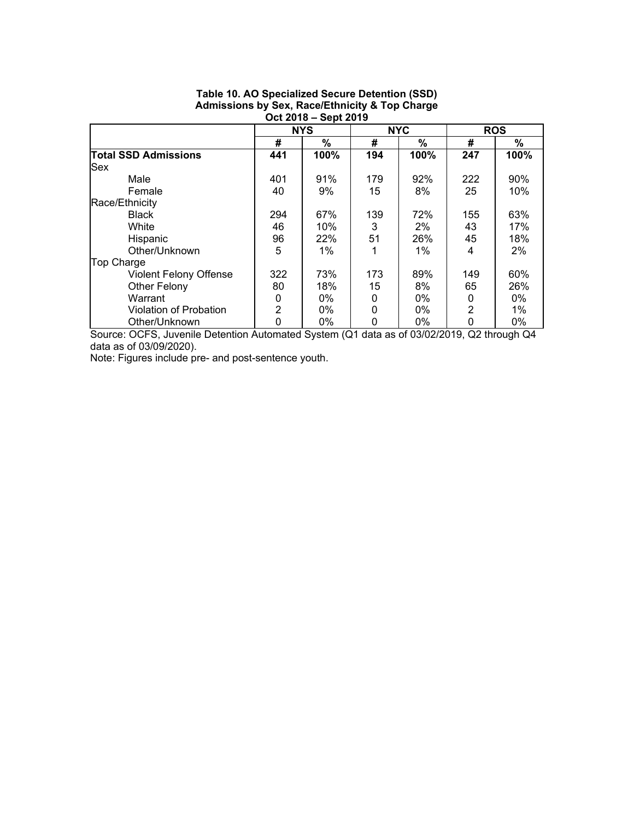|                               | <b>998 LV IV</b> | <b>OUNLEY IV</b> |          |            |          |            |
|-------------------------------|------------------|------------------|----------|------------|----------|------------|
|                               |                  | <b>NYS</b>       |          | <b>NYC</b> |          | <b>ROS</b> |
|                               | #                | $\%$             | #        | $\%$       | #        | $\%$       |
| <b>Total SSD Admissions</b>   | 441              | 100%             | 194      | 100%       | 247      | 100%       |
| <b>Sex</b>                    |                  |                  |          |            |          |            |
| Male                          | 401              | 91%              | 179      | 92%        | 222      | 90%        |
| Female                        | 40               | 9%               | 15       | 8%         | 25       | 10%        |
| Race/Ethnicity                |                  |                  |          |            |          |            |
| <b>Black</b>                  | 294              | 67%              | 139      | 72%        | 155      | 63%        |
| White                         | 46               | 10%              | 3        | $2\%$      | 43       | 17%        |
| Hispanic                      | 96               | 22%              | 51       | 26%        | 45       | 18%        |
| Other/Unknown                 | 5                | $1\%$            |          | $1\%$      | 4        | 2%         |
| <b>Top Charge</b>             |                  |                  |          |            |          |            |
| <b>Violent Felony Offense</b> | 322              | 73%              | 173      | 89%        | 149      | 60%        |
| Other Felony                  | 80               | 18%              | 15       | 8%         | 65       | 26%        |
| Warrant                       | 0                | $0\%$            | 0        | $0\%$      | $\Omega$ | $0\%$      |
| Violation of Probation        | $\overline{2}$   | $0\%$            | $\Omega$ | $0\%$      | 2        | $1\%$      |
| Other/Unknown                 | 0                | 0%               | 0        | 0%         |          | 0%         |

## **Table 10. AO Specialized Secure Detention (SSD) Admissions by Sex, Race/Ethnicity & Top Charge Oct 2018 – Sept 2019**

Source: OCFS, Juvenile Detention Automated System (Q1 data as of 03/02/2019, Q2 through Q4 data as of 03/09/2020).

Note: Figures include pre- and post-sentence youth.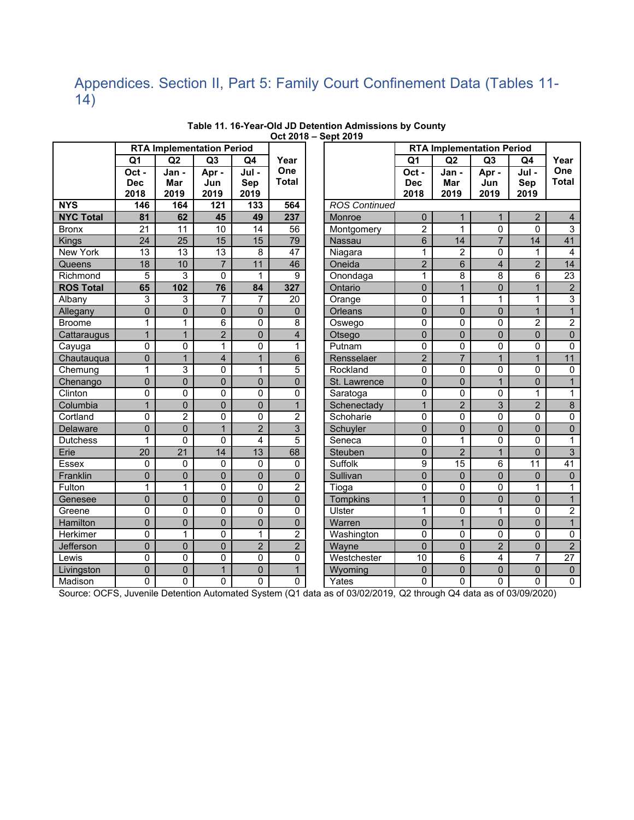## Appendices. Section II, Part 5: Family Court Confinement Data (Tables 11- 14)

|                  |                 |                 | <b>RTA Implementation Period</b> |                 |                         |                      |                | <b>RTA Implementation Period</b> |                |                |                 |
|------------------|-----------------|-----------------|----------------------------------|-----------------|-------------------------|----------------------|----------------|----------------------------------|----------------|----------------|-----------------|
|                  | Q <sub>1</sub>  | Q2              | Q <sub>3</sub>                   | Q4              | Year                    |                      | Q <sub>1</sub> | Q2                               | Q <sub>3</sub> | Q4             | Year            |
|                  | Oct -           | Jan -           | Apr -                            | Jul-            | One                     |                      | $Oct -$        | Jan -                            | Apr -          | $Jul -$        | One             |
|                  | <b>Dec</b>      | Mar             | Jun                              | Sep             | <b>Total</b>            |                      | <b>Dec</b>     | Mar                              | Jun            | Sep            | <b>Total</b>    |
|                  | 2018            | 2019            | 2019                             | 2019            |                         |                      | 2018           | 2019                             | 2019           | 2019           |                 |
| <b>NYS</b>       | 146             | 164             | 121                              | 133             | 564                     | <b>ROS Continued</b> |                |                                  |                |                |                 |
| <b>NYC Total</b> | 81              | 62              | 45                               | 49              | 237                     | Monroe               | $\mathbf 0$    | $\mathbf{1}$                     | $\mathbf{1}$   | $\overline{2}$ | $\overline{4}$  |
| <b>Bronx</b>     | $\overline{21}$ | $\overline{11}$ | 10                               | $\overline{14}$ | 56                      | Montgomery           | $\overline{2}$ | $\mathbf{1}$                     | $\mathbf 0$    | 0              | $\overline{3}$  |
| Kings            | $\overline{24}$ | $\overline{25}$ | 15                               | 15              | 79                      | Nassau               | 6              | $\overline{14}$                  | $\overline{7}$ | 14             | 41              |
| New York         | $\overline{13}$ | $\overline{13}$ | 13                               | 8               | $\overline{47}$         | Niagara              | 1              | $\overline{2}$                   | $\mathbf 0$    | $\mathbf{1}$   | $\overline{4}$  |
| Queens           | 18              | 10              | $\overline{7}$                   | 11              | 46                      | Oneida               | $\overline{2}$ | $6\phantom{1}$                   | 4              | $\overline{2}$ | 14              |
| Richmond         | 5               | 3               | 0                                | $\mathbf{1}$    | 9                       | Onondaga             | 1              | 8                                | 8              | 6              | $\overline{23}$ |
| <b>ROS Total</b> | 65              | 102             | 76                               | 84              | 327                     | Ontario              | $\overline{0}$ | $\mathbf{1}$                     | $\overline{0}$ | $\mathbf{1}$   | $\sqrt{2}$      |
| Albany           | 3               | 3               | $\overline{7}$                   | 7               | 20                      | Orange               | 0              | 1                                | 1              | 1              | $\overline{3}$  |
| Allegany         | 0               | $\mathbf 0$     | $\mathbf 0$                      | $\mathbf 0$     | $\mathbf 0$             | Orleans              | $\overline{0}$ | $\mathbf 0$                      | $\mathbf 0$    | $\overline{1}$ | $\mathbf{1}$    |
| <b>Broome</b>    | 1               | 1               | 6                                | 0               | 8                       | Oswego               | 0              | $\mathbf{0}$                     | $\mathbf{0}$   | $\overline{2}$ | $\overline{2}$  |
| Cattaraugus      | $\mathbf{1}$    | $\mathbf{1}$    | $\overline{2}$                   | $\overline{0}$  | $\overline{\mathbf{4}}$ | Otsego               | $\mathbf 0$    | $\overline{0}$                   | $\overline{0}$ | $\overline{0}$ | $\mathbf 0$     |
| Cayuga           | 0               | $\Omega$        | 1                                | 0               | 1                       | Putnam               | 0              | 0                                | $\mathbf{0}$   | 0              | $\overline{0}$  |
| Chautaugua       | 0               | $\mathbf{1}$    | $\overline{4}$                   | $\mathbf{1}$    | 6                       | Rensselaer           | $\overline{2}$ | $\overline{7}$                   | $\mathbf{1}$   | $\mathbf{1}$   | 11              |
| Chemung          | 1               | $\overline{3}$  | 0                                | $\mathbf{1}$    | 5                       | Rockland             | 0              | $\mathbf 0$                      | 0              | 0              | $\mathbf 0$     |
| Chenango         | 0               | $\mathbf 0$     | $\mathbf 0$                      | $\mathbf 0$     | $\overline{0}$          | St. Lawrence         | $\mathbf 0$    | $\mathbf 0$                      | $\mathbf{1}$   | $\overline{0}$ | $\mathbf{1}$    |
| Clinton          | 0               | $\mathbf 0$     | 0                                | 0               | 0                       | Saratoga             | 0              | 0                                | 0              | 1              | 1               |
| Columbia         | $\overline{1}$  | $\mathbf 0$     | $\overline{0}$                   | $\overline{0}$  | $\mathbf{1}$            | Schenectady          | $\overline{1}$ | $\overline{2}$                   | 3              | $\overline{2}$ | $\overline{8}$  |
| Cortland         | 0               | $\overline{c}$  | 0                                | 0               | $\overline{c}$          | Schoharie            | $\mathbf 0$    | $\overline{0}$                   | 0              | 0              | $\overline{0}$  |
| Delaware         | $\overline{0}$  | $\overline{0}$  | $\overline{1}$                   | $\overline{2}$  | $\overline{3}$          | Schuyler             | $\overline{0}$ | $\overline{0}$                   | $\overline{0}$ | $\overline{0}$ | $\overline{0}$  |
| <b>Dutchess</b>  | 1               | $\mathbf{0}$    | 0                                | $\overline{4}$  | 5                       | Seneca               | 0              | $\mathbf{1}$                     | $\mathbf{0}$   | 0              | $\mathbf{1}$    |
| Erie             | 20              | $\overline{21}$ | $\overline{14}$                  | 13              | 68                      | Steuben              | $\overline{0}$ | $\overline{2}$                   | $\mathbf{1}$   | $\overline{0}$ | $\overline{3}$  |
| <b>Essex</b>     | 0               | $\mathbf 0$     | 0                                | 0               | $\mathbf 0$             | Suffolk              | 9              | 15                               | 6              | 11             | $\overline{41}$ |
| Franklin         | $\overline{0}$  | $\overline{0}$  | $\mathbf 0$                      | $\overline{0}$  | 0                       | Sullivan             | $\mathbf 0$    | $\overline{0}$                   | $\overline{0}$ | $\overline{0}$ | $\mathbf 0$     |
| Fulton           | 1               | 1               | 0                                | 0               | $\overline{c}$          | Tioga                | 0              | 0                                | $\Omega$       | $\mathbf{1}$   | 1               |
| Genesee          | $\overline{0}$  | $\overline{0}$  | $\overline{0}$                   | $\overline{0}$  | 0                       | <b>Tompkins</b>      | $\overline{1}$ | $\overline{0}$                   | $\overline{0}$ | $\overline{0}$ | $\overline{1}$  |
| Greene           | 0               | $\Omega$        | 0                                | 0               | 0                       | Ulster               | 1              | 0                                | $\mathbf{1}$   | 0              | $\overline{c}$  |
| Hamilton         | $\overline{0}$  | $\overline{0}$  | $\Omega$                         | $\mathbf{0}$    | $\overline{0}$          | Warren               | $\overline{0}$ | $\mathbf{1}$                     | $\overline{0}$ | $\overline{0}$ | $\mathbf{1}$    |
| Herkimer         | 0               | $\mathbf{1}$    | $\mathbf{0}$                     | $\mathbf{1}$    | $\overline{c}$          | Washington           | 0              | $\Omega$                         | 0              | 0              | $\overline{0}$  |
| Jefferson        | $\overline{0}$  | $\Omega$        | $\overline{0}$                   | $\overline{2}$  | $\overline{2}$          | Wayne                | $\overline{0}$ | $\overline{0}$                   | $\overline{2}$ | $\overline{0}$ | $\overline{2}$  |
| Lewis            | 0               | $\mathbf 0$     | 0                                | 0               | 0                       | Westchester          | 10             | 6                                | 4              | $\overline{7}$ | 27              |
| Livingston       | 0               | $\overline{0}$  | $\overline{1}$                   | $\mathbf 0$     | $\mathbf{1}$            | Wyoming              | $\mathbf 0$    | $\overline{0}$                   | 0              | $\overline{0}$ | $\pmb{0}$       |
| Madison          | 0               | 0               | $\Omega$                         | $\mathbf 0$     | 0                       | Yates                | 0              | $\Omega$                         | 0              | 0              | $\overline{0}$  |

#### **Table 11. 16-Year-Old JD Detention Admissions by County Oct 2018 – Sept 2019**

Source: OCFS, Juvenile Detention Automated System (Q1 data as of 03/02/2019, Q2 through Q4 data as of 03/09/2020)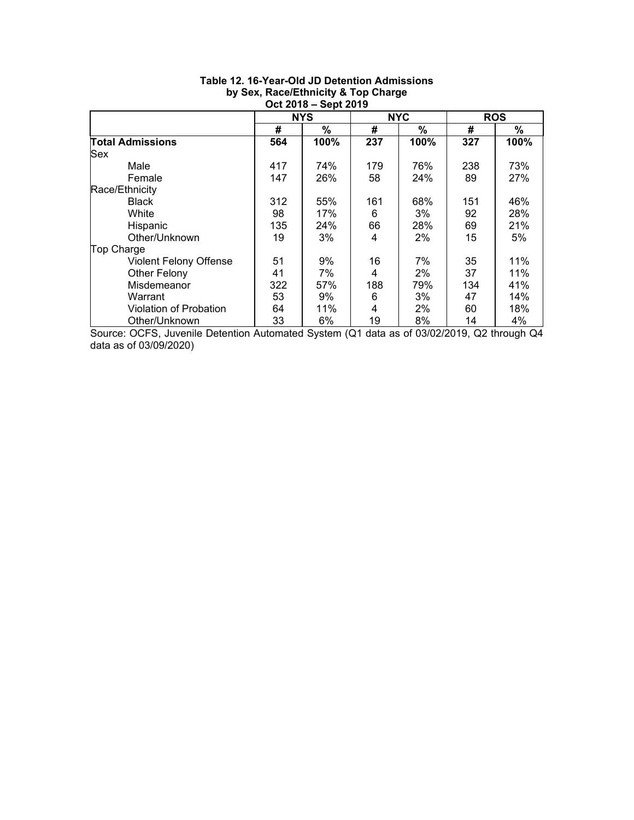|                               |     | <b>NYS</b> |     | <b>NYC</b> |     | <b>ROS</b> |  |  |  |  |  |  |  |  |  |  |  |
|-------------------------------|-----|------------|-----|------------|-----|------------|--|--|--|--|--|--|--|--|--|--|--|
|                               | #   | %          | #   | %          | #   | %          |  |  |  |  |  |  |  |  |  |  |  |
| <b>Total Admissions</b>       | 564 | 100%       | 237 | 100%       | 327 | 100%       |  |  |  |  |  |  |  |  |  |  |  |
| Sex                           |     |            |     |            |     |            |  |  |  |  |  |  |  |  |  |  |  |
| Male                          | 417 | 74%        | 179 | 76%        | 238 | 73%        |  |  |  |  |  |  |  |  |  |  |  |
| Female                        | 147 | 26%        | 58  | 24%        | 89  | 27%        |  |  |  |  |  |  |  |  |  |  |  |
| Race/Ethnicity                |     |            |     |            |     |            |  |  |  |  |  |  |  |  |  |  |  |
| <b>Black</b>                  | 312 | 55%        | 161 | 68%        | 151 | 46%        |  |  |  |  |  |  |  |  |  |  |  |
| White                         | 98  | 17%        | 6   | 3%         | 92  | 28%        |  |  |  |  |  |  |  |  |  |  |  |
| Hispanic                      | 135 | 24%        | 66  | 28%        | 69  | 21%        |  |  |  |  |  |  |  |  |  |  |  |
| Other/Unknown                 | 19  | 3%         | 4   | 2%         | 15  | 5%         |  |  |  |  |  |  |  |  |  |  |  |
| Top Charge                    |     |            |     |            |     |            |  |  |  |  |  |  |  |  |  |  |  |
| <b>Violent Felony Offense</b> | 51  | 9%         | 16  | 7%         | 35  | 11%        |  |  |  |  |  |  |  |  |  |  |  |
| Other Felony                  | 41  | 7%         | 4   | $2\%$      | 37  | 11%        |  |  |  |  |  |  |  |  |  |  |  |
| Misdemeanor                   | 322 | 57%        | 188 | 79%        | 134 | 41%        |  |  |  |  |  |  |  |  |  |  |  |
| Warrant                       | 53  | 9%         | 6   | 3%         | 47  | 14%        |  |  |  |  |  |  |  |  |  |  |  |
| Violation of Probation        | 64  | 11%        | 4   | 2%         | 60  | 18%        |  |  |  |  |  |  |  |  |  |  |  |
| Other/Unknown                 | 33  | 6%         | 19  | 8%         | 14  | 4%         |  |  |  |  |  |  |  |  |  |  |  |

## **Table 12. 16-Year-Old JD Detention Admissions by Sex, Race/Ethnicity & Top Charge Oct 2018 – Sept 2019**

Source: OCFS, Juvenile Detention Automated System (Q1 data as of 03/02/2019, Q2 through Q4 data as of 03/09/2020)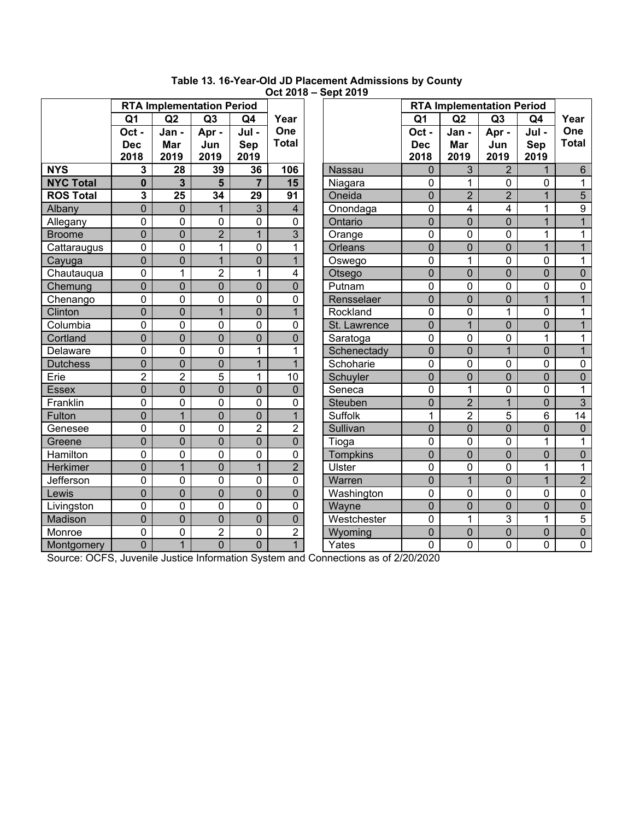|                  |                |                                  |                |                | ────           | OUPL 40 1 J     |                |                         |                                  |                |                |
|------------------|----------------|----------------------------------|----------------|----------------|----------------|-----------------|----------------|-------------------------|----------------------------------|----------------|----------------|
|                  |                | <b>RTA Implementation Period</b> |                |                |                |                 |                |                         | <b>RTA Implementation Period</b> |                |                |
|                  | Q <sub>1</sub> | Q2                               | Q <sub>3</sub> | Q4             | Year           |                 | Q <sub>1</sub> | Q2                      | Q3                               | Q4             | Year           |
|                  | Oct -          | Jan -                            | Apr -          | Jul-           | One            |                 | Oct -          | Jan -                   | Apr-                             | Jul-           | One            |
|                  | <b>Dec</b>     | Mar                              | Jun            | Sep            | <b>Total</b>   |                 | <b>Dec</b>     | Mar                     | Jun                              | Sep            | <b>Total</b>   |
|                  | 2018           | 2019                             | 2019           | 2019           |                |                 | 2018           | 2019                    | 2019                             | 2019           |                |
| <b>NYS</b>       | 3              | 28                               | 39             | 36             | 106            | <b>Nassau</b>   | $\overline{0}$ | 3                       | $\overline{2}$                   | 1              | $6\phantom{1}$ |
| <b>NYC Total</b> | $\mathbf{0}$   | 3                                | 5              | $\overline{7}$ | 15             | Niagara         | $\mathbf 0$    | 1                       | 0                                | 0              | $\mathbf{1}$   |
| <b>ROS Total</b> | 3              | 25                               | 34             | 29             | 91             | Oneida          | $\overline{0}$ | $\overline{2}$          | $\overline{2}$                   | $\mathbf{1}$   | 5              |
| Albany           | $\mathbf 0$    | $\mathbf 0$                      | $\mathbf{1}$   | 3              | $\overline{4}$ | Onondaga        | 0              | $\overline{\mathbf{4}}$ | 4                                | 1              | 9              |
| Allegany         | 0              | 0                                | 0              | $\mathbf 0$    | $\overline{0}$ | Ontario         | $\overline{0}$ | $\overline{0}$          | $\overline{0}$                   | $\overline{1}$ | $\overline{1}$ |
| <b>Broome</b>    | $\overline{0}$ | 0                                | $\overline{2}$ | 1              | 3              | Orange          | 0              | 0                       | 0                                | 1              | 1              |
| Cattaraugus      | 0              | $\mathbf 0$                      | $\mathbf 1$    | $\mathbf 0$    | $\mathbf{1}$   | Orleans         | $\overline{0}$ | $\overline{0}$          | $\overline{0}$                   | $\overline{1}$ | $\overline{1}$ |
| Cayuga           | 0              | $\overline{0}$                   | $\mathbf{1}$   | $\overline{0}$ | $\mathbf{1}$   | Oswego          | 0              | $\mathbf{1}$            | 0                                | 0              | $\mathbf{1}$   |
| Chautauqua       | 0              | $\mathbf{1}$                     | $\overline{2}$ | 1              | 4              | Otsego          | $\mathbf 0$    | $\overline{0}$          | $\overline{0}$                   | $\overline{0}$ | $\mathbf 0$    |
| Chemung          | $\overline{0}$ | 0                                | $\overline{0}$ | $\mathbf 0$    | $\mathbf 0$    | Putnam          | 0              | 0                       | 0                                | 0              | $\pmb{0}$      |
| Chenango         | 0              | $\overline{0}$                   | 0              | $\overline{0}$ | $\mathbf 0$    | Rensselaer      | $\overline{0}$ | $\overline{0}$          | $\overline{0}$                   | $\overline{1}$ | $\mathbf{1}$   |
| Clinton          | $\overline{0}$ | 0                                | $\mathbf{1}$   | $\overline{0}$ | $\mathbf{1}$   | Rockland        | 0              | 0                       | 1                                | 0              | 1              |
| Columbia         | 0              | $\overline{0}$                   | $\mathbf 0$    | $\mathbf 0$    | $\mathbf 0$    | St. Lawrence    | $\overline{0}$ | $\overline{1}$          | $\overline{0}$                   | $\overline{0}$ | $\overline{1}$ |
| Cortland         | $\overline{0}$ | $\overline{0}$                   | $\overline{0}$ | $\overline{0}$ | $\overline{0}$ | Saratoga        | $\mathbf 0$    | 0                       | 0                                | 1              | 1              |
| Delaware         | 0              | $\overline{0}$                   | $\overline{0}$ | $\mathbf{1}$   | $\mathbf{1}$   | Schenectady     | $\overline{0}$ | $\overline{0}$          | $\overline{1}$                   | $\overline{0}$ | $\mathbf{1}$   |
| <b>Dutchess</b>  | 0              | $\overline{0}$                   | $\mathbf 0$    | $\overline{1}$ | $\mathbf{1}$   | Schoharie       | 0              | 0                       | 0                                | 0              | $\pmb{0}$      |
| Erie             | $\overline{2}$ | $\overline{2}$                   | 5              | $\mathbf{1}$   | 10             | Schuyler        | $\overline{0}$ | $\mathbf 0$             | $\overline{0}$                   | $\overline{0}$ | $\overline{0}$ |
| <b>Essex</b>     | $\overline{0}$ | 0                                | $\overline{0}$ | $\overline{0}$ | $\overline{0}$ | Seneca          | 0              | $\mathbf{1}$            | 0                                | 0              | 1              |
| Franklin         | 0              | $\overline{0}$                   | $\mathbf 0$    | $\mathbf 0$    | $\mathbf 0$    | Steuben         | $\overline{0}$ | $\overline{2}$          | $\overline{1}$                   | $\overline{0}$ | $\overline{3}$ |
| Fulton           | $\overline{0}$ | $\overline{1}$                   | $\overline{0}$ | $\overline{0}$ | $\mathbf{1}$   | <b>Suffolk</b>  | 1              | $\overline{2}$          | 5                                | 6              | 14             |
| Genesee          | 0              | 0                                | $\overline{0}$ | $\overline{2}$ | $\overline{2}$ | Sullivan        | $\overline{0}$ | $\overline{0}$          | $\overline{0}$                   | $\overline{0}$ | $\overline{0}$ |
| Greene           | $\overline{0}$ | $\overline{0}$                   | $\mathbf 0$    | $\overline{0}$ | $\overline{0}$ | Tioga           | 0              | 0                       | 0                                | 1              | $\mathbf{1}$   |
| Hamilton         | 0              | $\overline{0}$                   | $\mathbf 0$    | $\overline{0}$ | $\mathbf 0$    | <b>Tompkins</b> | $\overline{0}$ | $\mathbf 0$             | $\overline{0}$                   | $\overline{0}$ | $\overline{0}$ |
| <b>Herkimer</b>  | $\overline{0}$ | $\overline{1}$                   | $\overline{0}$ | $\overline{1}$ | $\overline{2}$ | <b>Ulster</b>   | 0              | 0                       | 0                                | 1              | $\mathbf{1}$   |
| Jefferson        | 0              | 0                                | $\mathbf 0$    | $\mathbf 0$    | $\mathbf 0$    | Warren          | $\overline{0}$ | $\overline{1}$          | $\overline{0}$                   | $\mathbf{1}$   | $\overline{2}$ |
| Lewis            | $\overline{0}$ | 0                                | $\overline{0}$ | $\overline{0}$ | $\overline{0}$ | Washington      | 0              | 0                       | 0                                | 0              | $\pmb{0}$      |
| Livingston       | 0              | $\mathbf 0$                      | 0              | $\mathbf 0$    | $\mathbf 0$    | Wayne           | $\overline{0}$ | $\mathbf 0$             | $\overline{0}$                   | $\overline{0}$ | $\pmb{0}$      |
| Madison          | $\mathbf 0$    | $\overline{0}$                   | $\overline{0}$ | $\overline{0}$ | $\mathbf 0$    | Westchester     | 0              | $\mathbf{1}$            | 3                                | $\mathbf{1}$   | $\overline{5}$ |
| Monroe           | 0              | 0                                | $\overline{2}$ | 0              | $\overline{2}$ | Wyoming         | $\mathbf 0$    | $\overline{0}$          | $\overline{0}$                   | $\overline{0}$ | $\pmb{0}$      |
| Montgomery       | $\overline{0}$ | $\mathbf{1}$                     | $\overline{0}$ | $\overline{0}$ | $\mathbf{1}$   | Yates           | $\overline{0}$ | 0                       | $\mathbf 0$                      | 0              | 0              |

**Table 13. 16-Year-Old JD Placement Admissions by County Oct 2018 – Sept 2019** 

Source: OCFS, Juvenile Justice Information System and Connections as of 2/20/2020